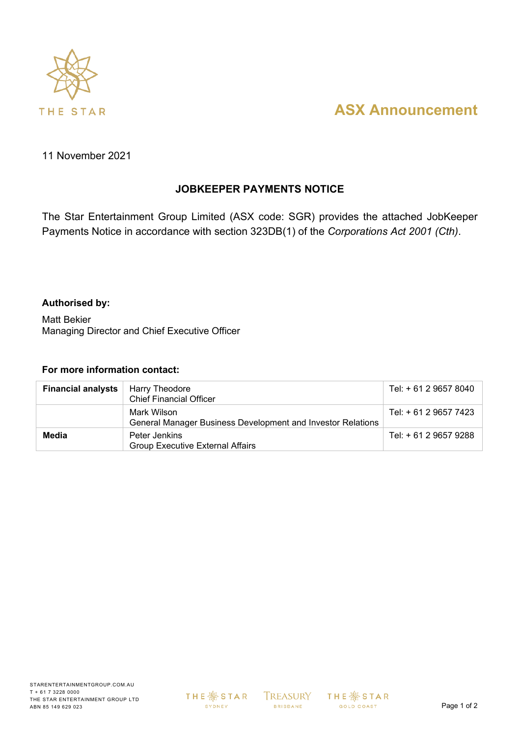

# **ASX Announcement**

11 November 2021

### **JOBKEEPER PAYMENTS NOTICE**

The Star Entertainment Group Limited (ASX code: SGR) provides the attached JobKeeper Payments Notice in accordance with section 323DB(1) of the *Corporations Act 2001 (Cth)*.

#### **Authorised by:**

Matt Bekier Managing Director and Chief Executive Officer

#### **For more information contact:**

| <b>Financial analysts</b> | Harry Theodore<br><b>Chief Financial Officer</b>                           | Tel: + 61 2 9657 8040 |
|---------------------------|----------------------------------------------------------------------------|-----------------------|
|                           | Mark Wilson<br>General Manager Business Development and Investor Relations | Tel: + 61 2 9657 7423 |
| Media                     | Peter Jenkins<br><b>Group Executive External Affairs</b>                   | Tel: + 61 2 9657 9288 |

**BRISBANE** 

 $TREASURY$  THE  $\frac{36}{36}$  STAR GOLD COAST